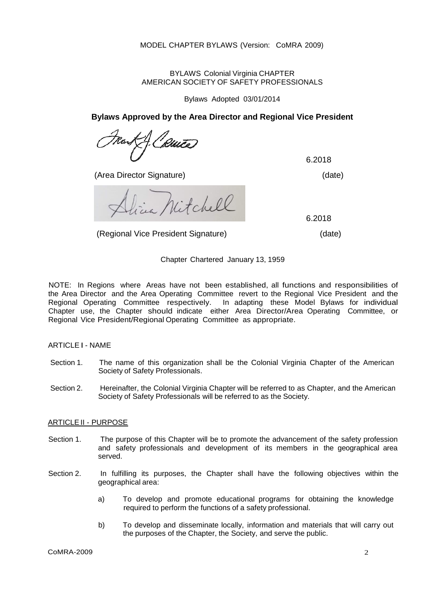BYLAWS Colonial Virginia CHAPTER AMERICAN SOCIETY OF SAFETY PROFESSIONALS

Bylaws Adopted 03/01/2014

**Bylaws Approved by the Area Director and Regional Vice President**

(Area Director Signature) (date)

6.2018

Nitchell

(Regional Vice President Signature) (date)

6.2018

Chapter Chartered January 13, 1959

NOTE: In Regions where Areas have not been established, all functions and responsibilities of the Area Director and the Area Operating Committee revert to the Regional Vice President and the Regional Operating Committee respectively. In adapting these Model Bylaws for individual In adapting these Model Bylaws for individual Chapter use, the Chapter should indicate either Area Director/Area Operating Committee, or Regional Vice President/Regional Operating Committee as appropriate.

# ARTICLE I - NAME

- Section 1. The name of this organization shall be the Colonial Virginia Chapter of the American Society of Safety Professionals.
- Section 2. Hereinafter, the Colonial Virginia Chapter will be referred to as Chapter, and the American Society of Safety Professionals will be referred to as the Society.

## ARTICLEII - PURPOSE

- Section 1. The purpose of this Chapter will be to promote the advancement of the safety profession and safety professionals and development of its members in the geographical area served.
- Section 2. In fulfilling its purposes, the Chapter shall have the following objectives within the geographical area:
	- a) To develop and promote educational programs for obtaining the knowledge required to perform the functions of a safety professional.
	- b) To develop and disseminate locally, information and materials that will carry out the purposes of the Chapter, the Society, and serve the public.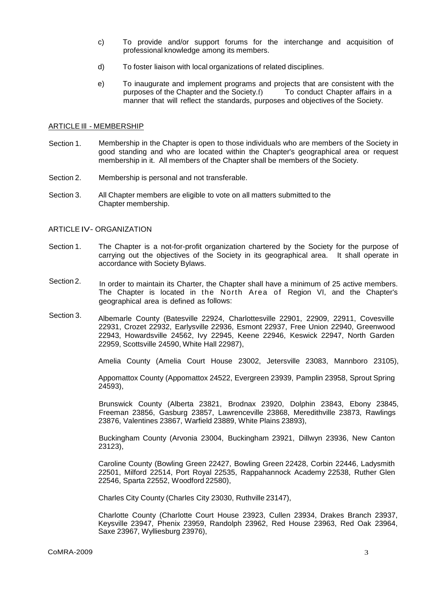- c) To provide and/or support forums for the interchange and acquisition of professional knowledge among its members.
- d) To foster liaison with local organizations of related disciplines.
- e) To inaugurate and implement programs and projects that are consistent with the purposes of the Chapter and the Society.f) To conduct Chapter affairs in a manner that will reflect the standards, purposes and objectives of the Society.

#### ARTICLE Ill - MEMBERSHIP

- Section 1. Membership in the Chapter is open to those individuals who are members of the Society in good standing and who are located within the Chapter's geographical area or request membership in it. All members of the Chapter shall be members of the Society.
- Section 2. Membership is personal and not transferable.
- Section 3. All Chapter members are eligible to vote on all matters submitted to the Chapter membership.

## ARTICLE IV- ORGANIZATION

- Section 1. The Chapter is a not-for-profit organization chartered by the Society for the purpose of carrying out the objectives of the Society in its geographical area. It shall operate in accordance with Society Bylaws.
- Section 2. In order to maintain its Charter, the Chapter shall have a minimum of 25 active members. The Chapter is located in the North Area of Region VI, and the Chapter's geographical area is defined as follows:
- Section 3. Albemarle County (Batesville 22924, Charlottesville 22901, 22909, 22911, Covesville 22931, Crozet 22932, Earlysville 22936, Esmont 22937, Free Union 22940, Greenwood 22943, Howardsville 24562, Ivy 22945, Keene 22946, Keswick 22947, North Garden 22959, Scottsville 24590, White Hall 22987),

Amelia County (Amelia Court House 23002, Jetersville 23083, Mannboro 23105),

Appomattox County (Appomattox 24522, Evergreen 23939, Pamplin 23958, Sprout Spring 24593),

Brunswick County (Alberta 23821, Brodnax 23920, Dolphin 23843, Ebony 23845, Freeman 23856, Gasburg 23857, Lawrenceville 23868, Meredithville 23873, Rawlings 23876, Valentines 23867, Warfield 23889, White Plains 23893),

Buckingham County (Arvonia 23004, Buckingham 23921, Dillwyn 23936, New Canton 23123),

Caroline County (Bowling Green 22427, Bowling Green 22428, Corbin 22446, Ladysmith 22501, Milford 22514, Port Royal 22535, Rappahannock Academy 22538, Ruther Glen 22546, Sparta 22552, Woodford 22580),

Charles City County (Charles City 23030, Ruthville 23147),

Charlotte County (Charlotte Court House 23923, Cullen 23934, Drakes Branch 23937, Keysville 23947, Phenix 23959, Randolph 23962, Red House 23963, Red Oak 23964, Saxe 23967, Wylliesburg 23976),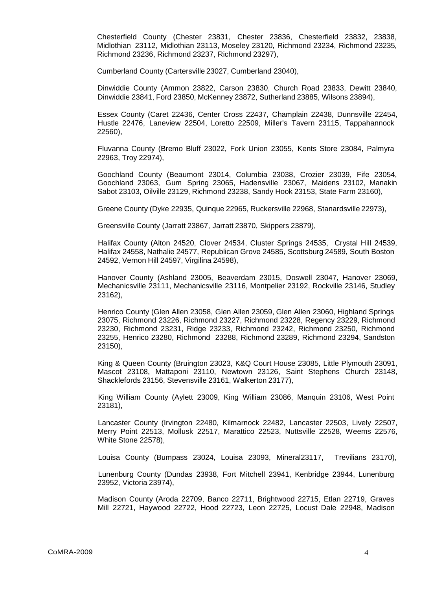Chesterfield County (Chester 23831, Chester 23836, Chesterfield 23832, 23838, Midlothian 23112, Midlothian 23113, Moseley 23120, Richmond 23234, Richmond 23235, Richmond 23236, Richmond 23237, Richmond 23297),

Cumberland County (Cartersville 23027, Cumberland 23040),

Dinwiddie County (Ammon 23822, Carson 23830, Church Road 23833, Dewitt 23840, Dinwiddie 23841, Ford 23850, McKenney 23872, Sutherland 23885, Wilsons 23894),

Essex County (Caret 22436, Center Cross 22437, Champlain 22438, Dunnsville 22454, Hustle 22476, Laneview 22504, Loretto 22509, Miller's Tavern 23115, Tappahannock 22560),

Fluvanna County (Bremo Bluff 23022, Fork Union 23055, Kents Store 23084, Palmyra 22963, Troy 22974),

Goochland County (Beaumont 23014, Columbia 23038, Crozier 23039, Fife 23054, Goochland 23063, Gum Spring 23065, Hadensville 23067, Maidens 23102, Manakin Sabot 23103, Oilville 23129, Richmond 23238, Sandy Hook 23153, State Farm 23160),

Greene County (Dyke 22935, Quinque 22965, Ruckersville 22968, Stanardsville 22973),

Greensville County (Jarratt 23867, Jarratt 23870, Skippers 23879),

Halifax County (Alton 24520, Clover 24534, Cluster Springs 24535, Crystal Hill 24539, Halifax 24558, Nathalie 24577, Republican Grove 24585, Scottsburg 24589, South Boston 24592, Vernon Hill 24597, Virgilina 24598),

Hanover County (Ashland 23005, Beaverdam 23015, Doswell 23047, Hanover 23069, Mechanicsville 23111, Mechanicsville 23116, Montpelier 23192, Rockville 23146, Studley 23162),

Henrico County (Glen Allen 23058, Glen Allen 23059, Glen Allen 23060, Highland Springs 23075, Richmond 23226, Richmond 23227, Richmond 23228, Regency 23229, Richmond 23230, Richmond 23231, Ridge 23233, Richmond 23242, Richmond 23250, Richmond 23255, Henrico 23280, Richmond 23288, Richmond 23289, Richmond 23294, Sandston 23150),

King & Queen County (Bruington 23023, K&Q Court House 23085, Little Plymouth 23091, Mascot 23108, Mattaponi 23110, Newtown 23126, Saint Stephens Church 23148, Shacklefords 23156, Stevensville 23161, Walkerton 23177),

King William County (Aylett 23009, King William 23086, Manquin 23106, West Point 23181),

Lancaster County (Irvington 22480, Kilmarnock 22482, Lancaster 22503, Lively 22507, Merry Point 22513, Mollusk 22517, Marattico 22523, Nuttsville 22528, Weems 22576, White Stone 22578),

Louisa County (Bumpass 23024, Louisa 23093, Mineral23117, Trevilians 23170),

Lunenburg County (Dundas 23938, Fort Mitchell 23941, Kenbridge 23944, Lunenburg 23952, Victoria 23974),

Madison County (Aroda 22709, Banco 22711, Brightwood 22715, Etlan 22719, Graves Mill 22721, Haywood 22722, Hood 22723, Leon 22725, Locust Dale 22948, Madison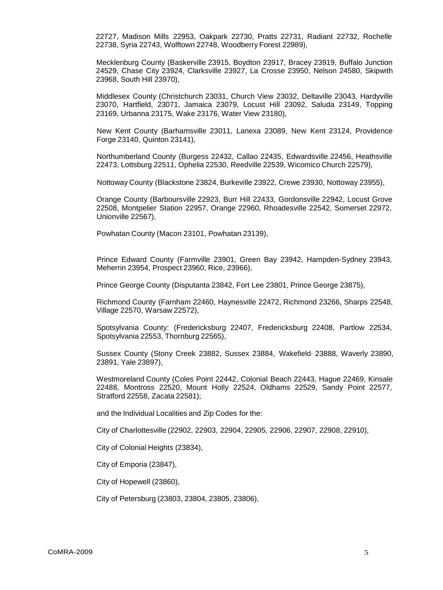22727, Madison Mills 22953, Oakpark 22730, Pratts 22731, Radiant 22732, Rochelle 22738, Syria 22743, Wolftown 22748, Woodberry Forest 22989),

Mecklenburg County (Baskerville 23915, Boydton 23917, Bracey 23919, Buffalo Junction 24529, Chase City 23924, Clarksville 23927, La Crosse 23950, Nelson 24580, Skipwith 23968, South Hill 23970),

Middlesex County (Christchurch 23031, Church View 23032, Deltaville 23043, Hardyville 23070, Hartfield, 23071, Jamaica 23079, Locust Hill 23092, Saluda 23149, Topping 23169, Urbanna 23175, Wake 23176, Water View 23180),

New Kent County (Barhamsville 23011, Lanexa 23089, New Kent 23124, Providence Forge 23140, Quinton 23141),

Northumberland County (Burgess 22432, Callao 22435, Edwardsville 22456, Heathsville 22473, Lottsburg 22511, Ophelia 22530, Reedville 22539, Wicomico Church 22579),

Nottoway County (Blackstone 23824, Burkeville 23922, Crewe 23930, Nottoway 23955),

Orange County (Barboursville 22923, Burr Hill 22433, Gordonsville 22942, Locust Grove 22508, Montpelier Station 22957, Orange 22960, Rhoadesville 22542, Somerset 22972, Unionville 22567),

Powhatan County (Macon 23101, Powhatan 23139),

Prince Edward County (Farmville 23901, Green Bay 23942, Hampden-Sydney 23943, Meherrin 23954, Prospect 23960, Rice, 23966),

Prince George County (Disputanta 23842, Fort Lee 23801, Prince George 23875),

Richmond County (Farnham 22460, Haynesville 22472, Richmond 23266, Sharps 22548, Village 22570, Warsaw 22572),

Spotsylvania County: (Fredericksburg 22407, Fredericksburg 22408, Partlow 22534, Spotsylvania 22553, Thornburg 22565),

Sussex County (Stony Creek 23882, Sussex 23884, Wakefield· 23888, Waverly 23890, 23891, Yale 23897),

Westmoreland County (Coles Point 22442, Colonial Beach 22443, Hague 22469, Kinsale 22488, Montross 22520, Mount Holly 22524, Oldhams 22529, Sandy Point 22577, Stratford 22558, Zacata 22581);

and the Individual Localities and Zip Codes for the:

City of Charlottesville (22902, 22903, 22904, 22905, 22906, 22907, 22908, 22910),

City of Colonial Heights (23834),

City of Emporia (23847),

City of Hopewell (23860),

City of Petersburg (23803, 23804, 23805, 23806),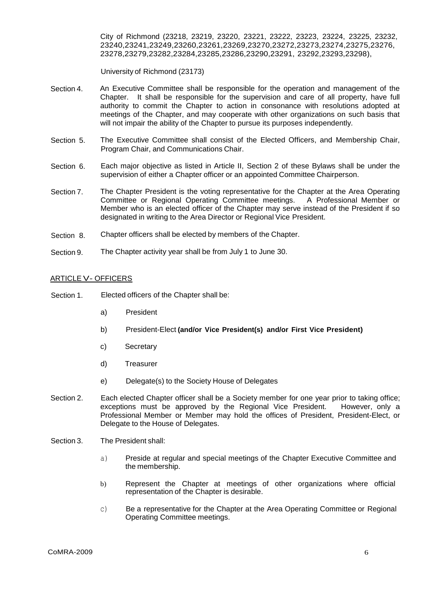City of Richmond (23218, 23219, 23220, 23221, 23222, 23223, 23224, 23225, 23232, 23240,23241,23249,23260,23261,23269,23270,23272,23273,23274,23275,23276, 23278,23279,23282,23284,23285,23286,23290,23291, 23292,23293,23298),

University of Richmond (23173)

- Section 4. An Executive Committee shall be responsible for the operation and management of the Chapter. It shall be responsible for the supervision and care of all property, have full authority to commit the Chapter to action in consonance with resolutions adopted at meetings of the Chapter, and may cooperate with other organizations on such basis that will not impair the ability of the Chapter to pursue its purposes independently.
- Section 5. The Executive Committee shall consist of the Elected Officers, and Membership Chair, Program Chair, and Communications Chair.
- Section 6. Each major objective as listed in Article II, Section 2 of these Bylaws shall be under the supervision of either a Chapter officer or an appointed Committee Chairperson.
- Section 7. The Chapter President is the voting representative for the Chapter at the Area Operating Committee or Regional Operating Committee meetings. A Professional Member or Member who is an elected officer of the Chapter may serve instead of the President if so designated in writing to the Area Director or Regional Vice President.
- Section 8. Chapter officers shall be elected by members of the Chapter.
- Section 9. The Chapter activity year shall be from July 1 to June 30.

## ARTICLE V- OFFICERS

- Section 1. Elected officers of the Chapter shall be:
	- a) President
	- b) President-Elect **(and/or Vice President(s) and/or First Vice President)**
	- c) Secretary
	- d) Treasurer
	- e) Delegate(s) to the Society House of Delegates
- Section 2. Each elected Chapter officer shall be a Society member for one year prior to taking office; exceptions must be approved by the Regional Vice President. However, only a Professional Member or Member may hold the offices of President, President-Elect, or Delegate to the House of Delegates.
- Section 3. The President shall:
	- a) Preside at regular and special meetings of the Chapter Executive Committee and the membership.
	- b) Represent the Chapter at meetings of other organizations where official representation of the Chapter is desirable.
	- c) Be a representative for the Chapter at the Area Operating Committee or Regional Operating Committee meetings.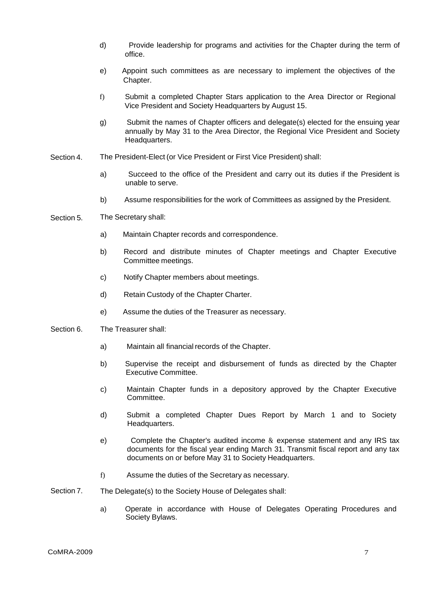- d) Provide leadership for programs and activities for the Chapter during the term of office.
- e) Appoint such committees as are necessary to implement the objectives of the Chapter.
- f) Submit a completed Chapter Stars application to the Area Director or Regional Vice President and Society Headquarters by August 15.
- g) Submit the names of Chapter officers and delegate(s) elected for the ensuing year annually by May 31 to the Area Director, the Regional Vice President and Society Headquarters.
- Section 4. The President-Elect (or Vice President or First Vice President) shall:
	- a) Succeed to the office of the President and carry out its duties if the President is unable to serve.
	- b) Assume responsibilities for the work of Committees as assigned by the President.
- Section 5. The Secretary shall:
	- a) Maintain Chapter records and correspondence.
	- b) Record and distribute minutes of Chapter meetings and Chapter Executive Committee meetings.
	- c) Notify Chapter members about meetings.
	- d) Retain Custody of the Chapter Charter.
	- e) Assume the duties of the Treasurer as necessary.
- Section 6. The Treasurer shall:
	- a) Maintain all financial records of the Chapter.
	- b) Supervise the receipt and disbursement of funds as directed by the Chapter Executive Committee.
	- c) Maintain Chapter funds in a depository approved by the Chapter Executive Committee.
	- d) Submit a completed Chapter Dues Report by March 1 and to Society Headquarters.
	- e) Complete the Chapter's audited income & expense statement and any IRS tax documents for the fiscal year ending March 31. Transmit fiscal report and any tax documents on or before May 31 to Society Headquarters.
	- f) Assume the duties of the Secretary as necessary.
- Section 7. The Delegate(s) to the Society House of Delegates shall:
	- a) Operate in accordance with House of Delegates Operating Procedures and Society Bylaws.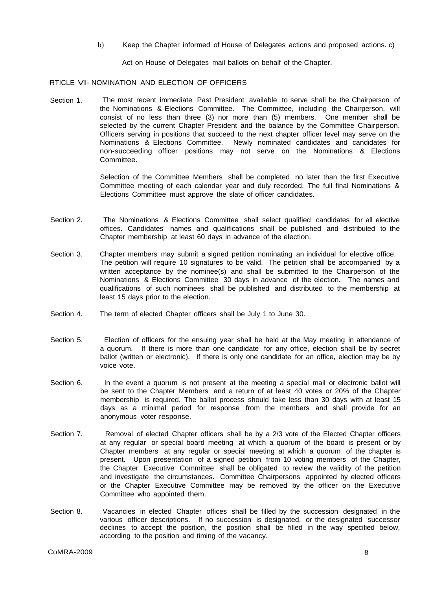b) Keep the Chapter informed of House of Delegates actions and proposed actions. c)

Act on House of Delegates mail ballots on behalf of the Chapter.

RTICLE VI- NOMINATION AND ELECTION OF OFFICERS

Section 1. The most recent immediate Past President available to serve shall be the Chairperson of the Nominations & Elections Committee. The Committee, including the Chairperson, will consist of no less than three (3) nor more than (5) members. One member shall be selected by the current Chapter President and the balance by the Committee Chairperson. Officers serving in positions that succeed to the next chapter officer level may serve on the Nominations & Elections Committee. Newly nominated candidates and candidates for non-succeeding officer positions may not serve on the Nominations & Elections Committee.

> Selection of the Committee Members shall be completed no later than the first Executive Committee meeting of each calendar year and duly recorded. The full final Nominations & Elections Committee must approve the slate of officer candidates.

- Section 2. The Nominations & Elections Committee shall select qualified candidates for all elective offices. Candidates' names and qualifications shall be published and distributed to the Chapter membership at least 60 days in advance of the election.
- Section 3. Chapter members may submit a signed petition nominating an individual for elective office. The petition will require 10 signatures to be valid. The petition shall be accompanied by a written acceptance by the nominee(s) and shall be submitted to the Chairperson of the Nominations & Elections Committee 30 days in advance of the election. The names and qualifications of such nominees shall be published and distributed to the membership at least 15 days prior to the election.
- Section 4. The term of elected Chapter officers shall be July 1 to June 30.
- Section 5. Election of officers for the ensuing year shall be held at the May meeting in attendance of a quorum. If there is more than one candidate for any office, election shall be by secret ballot (written or electronic). If there is only one candidate for an office, election may be by voice vote.
- Section 6. In the event a quorum is not present at the meeting a special mail or electronic ballot will be sent to the Chapter Members and a return of at least 40 votes or 20% of the Chapter membership is required. The ballot process should take less than 30 days with at least 15 days as a minimal period for response from the members and shall provide for an anonymous voter response.
- Section 7. Removal of elected Chapter officers shall be by a 2/3 vote of the Elected Chapter officers at any regular or special board meeting at which a quorum of the board is present or by Chapter members at any regular or special meeting at which a quorum of the chapter is present. Upon presentation of a signed petition from 10 voting members of the Chapter, the Chapter Executive Committee shall be obligated to review the validity of the petition and investigate the circumstances. Committee Chairpersons appointed by elected officers or the Chapter Executive Committee may be removed by the officer on the Executive Committee who appointed them.
- Section 8. Vacancies in elected Chapter offices shall be filled by the succession designated in the various officer descriptions. If no succession is designated, or the designated successor declines to accept the position, the position shall be filled in the way specified below, according to the position and timing of the vacancy.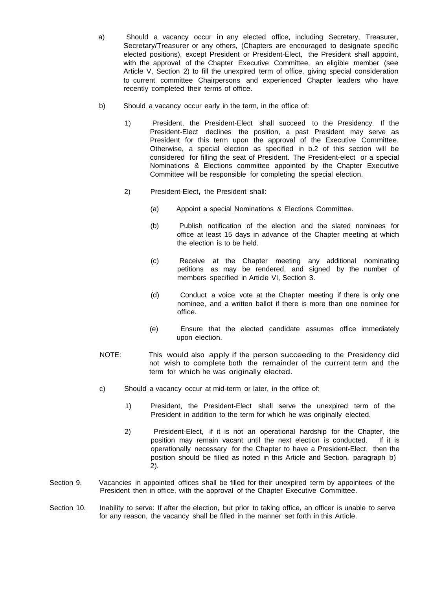- a) Should a vacancy occur in any elected office, including Secretary, Treasurer, Secretary/Treasurer or any others, (Chapters are encouraged to designate specific elected positions), except President or President-Elect, the President shall appoint, with the approval of the Chapter Executive Committee, an eligible member (see Article V, Section 2) to fill the unexpired term of office, giving special consideration to current committee Chairpersons and experienced Chapter leaders who have recently completed their terms of office.
- b) Should a vacancy occur early in the term, in the office of:
	- 1) President, the President-Elect shall succeed to the Presidency. If the President-Elect declines the position, a past President may serve as President for this term upon the approval of the Executive Committee. Otherwise, a special election as specified in b.2 of this section will be considered for filling the seat of President. The President-elect or a special Nominations & Elections committee appointed by the Chapter Executive Committee will be responsible for completing the special election.
	- 2) President-Elect, the President shall:
		- (a) Appoint a special Nominations & Elections Committee.
		- (b) Publish notification of the election and the slated nominees for office at least 15 days in advance of the Chapter meeting at which the election is to be held.
		- (c) Receive at the Chapter meeting any additional nominating petitions as may be rendered, and signed by the number of members specified in Article VI, Section 3.
		- (d) Conduct a voice vote at the Chapter meeting if there is only one nominee, and a written ballot if there is more than one nominee for office.
		- (e) Ensure that the elected candidate assumes office immediately upon election.
- NOTE: This would also apply if the person succeeding to the Presidency did not wish to complete both the remainder of the current term and the term for which he was originally elected.
- c) Should a vacancy occur at mid-term or later, in the office of:
	- 1) President, the President-Elect shall serve the unexpired term of the President in addition to the term for which he was originally elected.
	- 2) President-Elect, if it is not an operational hardship for the Chapter, the position may remain vacant until the next election is conducted. If it is operationally necessary for the Chapter to have a President-Elect, then the position should be filled as noted in this Article and Section, paragraph b) 2).
- Section 9. Vacancies in appointed offices shall be filled for their unexpired term by appointees of the President then in office, with the approval of the Chapter Executive Committee.
- Section 10. Inability to serve: If after the election, but prior to taking office, an officer is unable to serve for any reason, the vacancy shall be filled in the manner set forth in this Article.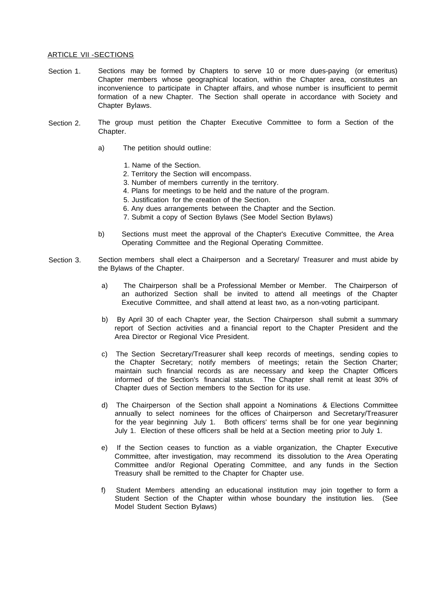#### ARTICLE VII -SECTIONS

- Section 1. Sections may be formed by Chapters to serve 10 or more dues-paying (or emeritus) Chapter members whose geographical location, within the Chapter area, constitutes an inconvenience to participate in Chapter affairs, and whose number is insufficient to permit formation of a new Chapter. The Section shall operate in accordance with Society and Chapter Bylaws.
- Section 2. The group must petition the Chapter Executive Committee to form a Section of the Chapter.
	- a) The petition should outline:
		- 1. Name of the Section.
		- 2. Territory the Section will encompass.
		- 3. Number of members currently in the territory.
		- 4. Plans for meetings to be held and the nature of the program.
		- 5. Justification for the creation of the Section.
		- 6. Any dues arrangements between the Chapter and the Section.
		- 7. Submit a copy of Section Bylaws (See Model Section Bylaws)
	- b) Sections must meet the approval of the Chapter's Executive Committee, the Area Operating Committee and the Regional Operating Committee.
- Section 3. Section members shall elect a Chairperson and a Secretary/ Treasurer and must abide by the Bylaws of the Chapter.
	- a) The Chairperson shall be a Professional Member or Member. The Chairperson of an authorized Section shall be invited to attend all meetings of the Chapter Executive Committee, and shall attend at least two, as a non-voting participant.
	- b) By April 30 of each Chapter year, the Section Chairperson shall submit a summary report of Section activities and a financial report to the Chapter President and the Area Director or Regional Vice President.
	- c) The Section Secretary/Treasurer shall keep records of meetings, sending copies to the Chapter Secretary; notify members of meetings; retain the Section Charter; maintain such financial records as are necessary and keep the Chapter Officers informed of the Section's financial status. The Chapter shall remit at least 30% of Chapter dues of Section members to the Section for its use.
	- d) The Chairperson of the Section shall appoint a Nominations & Elections Committee annually to select nominees for the offices of Chairperson and Secretary/Treasurer for the year beginning July 1. Both officers' terms shall be for one year beginning July 1. Election of these officers shall be held at a Section meeting prior to July 1.
	- e) If the Section ceases to function as a viable organization, the Chapter Executive Committee, after investigation, may recommend its dissolution to the Area Operating Committee and/or Regional Operating Committee, and any funds in the Section Treasury shall be remitted to the Chapter for Chapter use.
	- f) Student Members attending an educational institution may join together to form a Student Section of the Chapter within whose boundary the institution lies. (See Model Student Section Bylaws)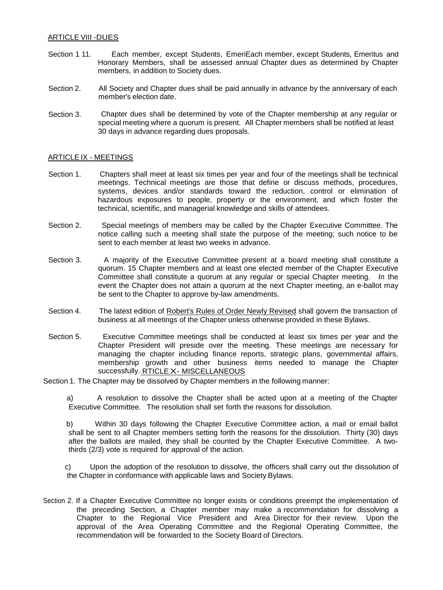## ARTICLE VIII -DUES

- Section 1 11. Each member, except Students, EmeriEach member, except Students, Emeritus and Honorary Members, shall be assessed annual Chapter dues as determined by Chapter members, in addition to Society dues.
- Section 2. All Society and Chapter dues shall be paid annually in advance by the anniversary of each member's election date.
- Section 3. Chapter dues shall be determined by vote of the Chapter membership at any regular or special meeting where a quorum is present. All Chapter members shall be notified at least 30 days in advance regarding dues proposals.

## ARTICLE IX - MEETINGS

- Section 1. Chapters shall meet at least six times per year and four of the meetings shall be technical meetings. Technical meetings are those that define or discuss methods, procedures, systems, devices and/or standards toward the reduction, control or elimination of hazardous exposures to people, property or the environment, and which foster the technical, scientific, and managerial knowledge and skills of attendees.
- Section 2. Special meetings of members may be called by the Chapter Executive Committee. The notice calling such a meeting shall state the purpose of the meeting; such notice to be sent to each member at least two weeks in advance.
- Section 3. A majority of the Executive Committee present at a board meeting shall constitute a quorum. 15 Chapter members and at least one elected member of the Chapter Executive Committee shall constitute a quorum at any regular or special Chapter meeting. In the event the Chapter does not attain a quorum at the next Chapter meeting, an e-ballot may be sent to the Chapter to approve by-law amendments.
- Section 4. The latest edition of Robert's Rules of Order Newly Revised shall govern the transaction of business at all meetings of the Chapter unless otherwise provided in these Bylaws.
- Section 5. Executive Committee meetings shall be conducted at least six times per year and the Chapter President will preside over the meeting. These meetings are necessary for managing the chapter including finance reports, strategic plans, governmental affairs, membership growth and other business items needed to manage the Chapter successfully. RTICLE X- MISCELLANEOUS
- Section 1. The Chapter may be dissolved by Chapter members in the following manner:

a) A resolution to dissolve the Chapter shall be acted upon at a meeting of the Chapter Executive Committee. The resolution shall set forth the reasons for dissolution.

b) Within 30 days following the Chapter Executive Committee action, a mail or email ballot shall be sent to all Chapter members setting forth the reasons for the dissolution. Thirty (30) days after the ballots are mailed, they shall be counted by the Chapter Executive Committee. A twothirds (2/3) vote is required for approval of the action.

c) Upon the adoption of the resolution to dissolve, the officers shall carry out the dissolution of the Chapter in conformance with applicable laws and Society Bylaws.

Section 2. If a Chapter Executive Committee no longer exists or conditions preempt the implementation of the preceding Section, a Chapter member may make a recommendation for dissolving a Chapter to the Regional Vice President and Area Director for their review. Upon the approval of the Area Operating Committee and the Regional Operating Committee, the recommendation will be forwarded to the Society Board of Directors.